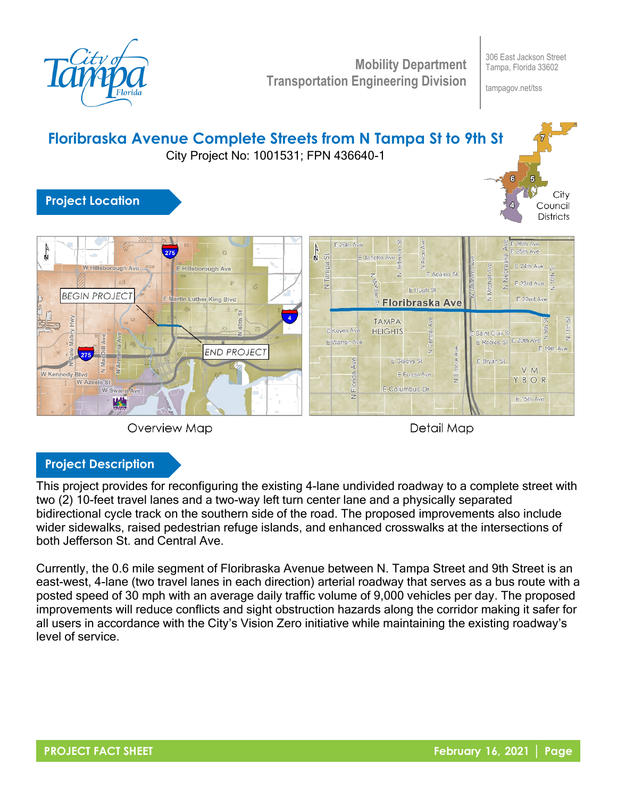

**Mobility Department Transportation Engineering Division**

306 East Jackson Street Tampa, Florida 33602

tampagov.net/tss





**Overview Map** 

Detail Map

## **Project Description**

This project provides for reconfiguring the existing 4-lane undivided roadway to a complete street with two (2) 10-feet travel lanes and a two-way left turn center lane and a physically separated bidirectional cycle track on the southern side of the road. The proposed improvements also include wider sidewalks, raised pedestrian refuge islands, and enhanced crosswalks at the intersections of both Jefferson St. and Central Ave.

Currently, the 0.6 mile segment of Floribraska Avenue between N. Tampa Street and 9th Street is an east-west, 4-lane (two travel lanes in each direction) arterial roadway that serves as a bus route with a posted speed of 30 mph with an average daily traffic volume of 9,000 vehicles per day. The proposed improvements will reduce conflicts and sight obstruction hazards along the corridor making it safer for all users in accordance with the City's Vision Zero initiative while maintaining the existing roadway's level of service.